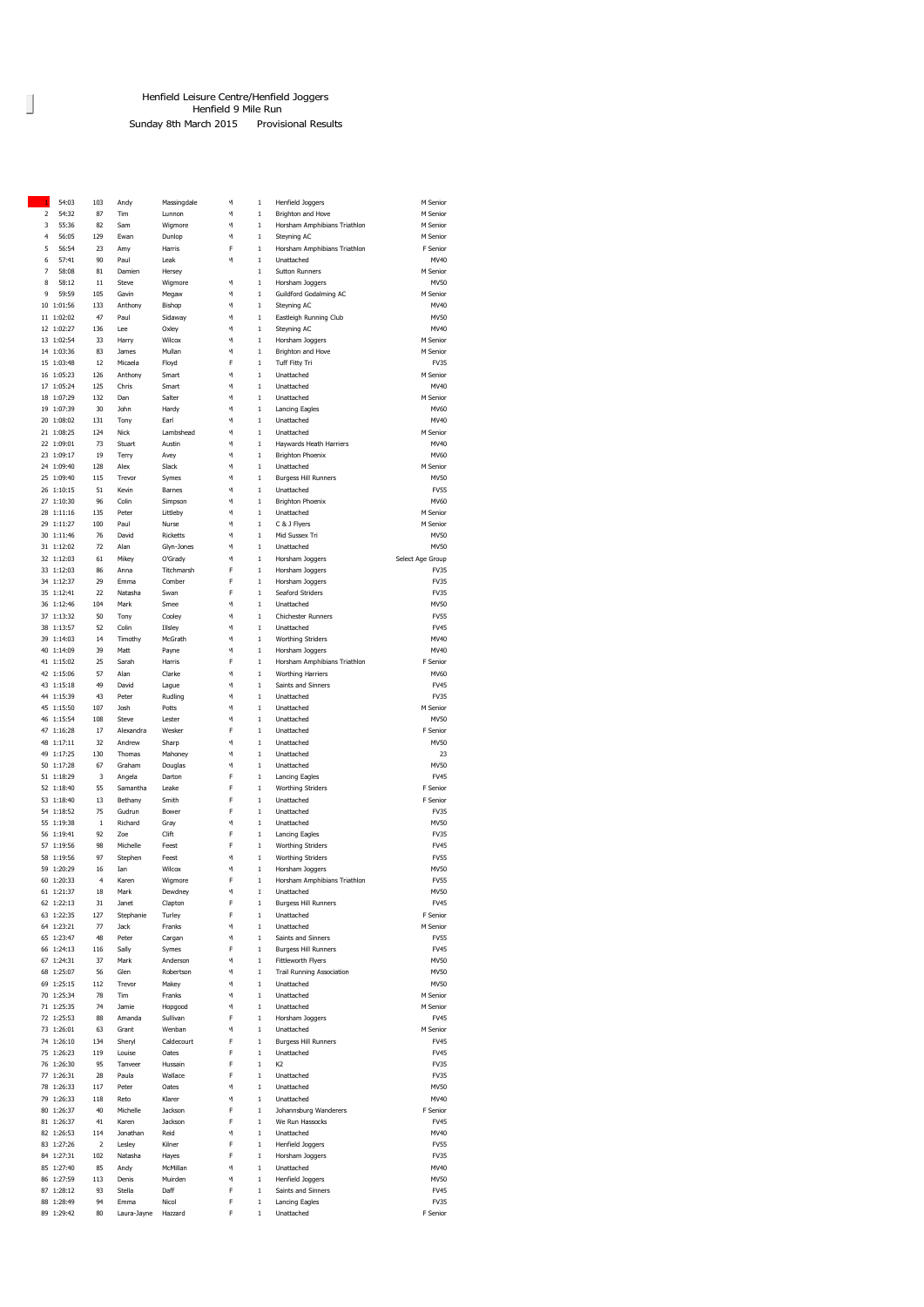## Data Entry Henfield Leisure Centre/Henfield Joggers Henfield 9 Mile Run

Sunday 8th March 2015 Provisional Results

| h           |            |         |           |                 |   |              |                                  |                  |
|-------------|------------|---------|-----------|-----------------|---|--------------|----------------------------------|------------------|
|             | 54:03      | 103     | Andy      | Massingdale     | м | $\mathbf{1}$ | Henfield Joggers                 | M Senior         |
| $\mathbf 2$ | 54:32      | 87      | Tim       | Lunnon          | м | $\mathbf{1}$ | Brighton and Hove                | M Senior         |
| 3           | 55:36      | 82      | Sam       | Wigmore         | м | $\,1\,$      | Horsham Amphibians Triathlon     | M Senior         |
| 4           | 56:05      | 129     | Ewan      | Dunlop          | И | $\mathbf{1}$ | Steyning AC                      | M Senior         |
| 5           | 56:54      | 23      | Amy       | Harris          | F | $\mathbf{1}$ | Horsham Amphibians Triathlon     | F Senior         |
|             |            |         |           |                 |   |              |                                  |                  |
| 6           | 57:41      | 90      | Paul      | Leak            | м | $\mathbf{1}$ | Unattached                       | MV40             |
| 7           | 58:08      | 81      | Damien    | Hersey          |   | $\,1$        | <b>Sutton Runners</b>            | M Senior         |
| 8           | 58:12      | 11      | Steve     | Wigmore         | ч | $\,$ 1       | Horsham Joggers                  | MV50             |
| 9           | 59:59      | 105     | Gavin     | Megaw           | м | $\,$ 1       | Guildford Godalming AC           | M Senior         |
|             |            |         |           |                 |   |              |                                  |                  |
|             | 10 1:01:56 | 133     | Anthony   | Bishop          | м | $\,$ 1       | Steyning AC                      | MV40             |
|             | 11 1:02:02 | 47      | Paul      | Sidaway         | м | $\,$ 1       | Eastleigh Running Club           | MV50             |
|             | 12 1:02:27 | 136     | Lee       | Oxley           | И | $\,1$        | Steyning AC                      | MV40             |
|             | 13 1:02:54 | 33      | Harry     | Wilcox          | м | $\mathbf{1}$ | Horsham Joggers                  | M Senior         |
|             |            |         |           |                 |   |              |                                  |                  |
|             | 14 1:03:36 | 83      | James     | Mullan          | И | $\,1$        | Brighton and Hove                | M Senior         |
|             | 15 1:03:48 | 12      | Micaela   | Floyd           | F | $\mathbf{1}$ | Tuff Fitty Tri                   | FV35             |
|             | 16 1:05:23 | 126     | Anthony   | Smart           | И | $\,1$        | Unattached                       | M Senior         |
|             | 17 1:05:24 | 125     | Chris     | Smart           | И | $\mathbf{1}$ | Unattached                       | MV40             |
|             |            |         |           |                 |   |              |                                  |                  |
|             | 18 1:07:29 | 132     | Dan       | Salter          | И | $\,1$        | Unattached                       | M Senior         |
|             | 19 1:07:39 | 30      | John      | Hardy           | м | $\mathbf{1}$ | Lancing Eagles                   | MV60             |
|             | 20 1:08:02 | 131     | Tony      | Earl            | И | $\mathbf{1}$ | Unattached                       | MV40             |
|             | 21 1:08:25 | 124     | Nick      | Lambshead       | И | $\mathbf{1}$ | Unattached                       | M Senior         |
|             |            |         |           |                 |   |              |                                  |                  |
|             | 22 1:09:01 | 73      | Stuart    | Austin          | И | $\mathbf{1}$ | Haywards Heath Harriers          | MV40             |
|             | 23 1:09:17 | 19      | Terry     | Avey            | м | $\,1$        | <b>Brighton Phoenix</b>          | MV60             |
|             | 24 1:09:40 | 128     | Alex      | Slack           | м | $\,$ 1       | Unattached                       | M Senior         |
|             | 25 1:09:40 | 115     | Trevor    | Symes           | м | $\,$ 1       | <b>Burgess Hill Runners</b>      | MV50             |
|             |            |         |           |                 |   |              |                                  |                  |
|             | 26 1:10:15 | 51      | Kevin     | Barnes          | м | $\mathbf{1}$ | Unattached                       | <b>FV55</b>      |
|             | 27 1:10:30 | 96      | Colin     | Simpson         | И | $\,1$        | <b>Brighton Phoenix</b>          | MV60             |
|             | 28 1:11:16 | 135     | Peter     | Littleby        | м | $\mathbf{1}$ | Unattached                       | M Senior         |
|             | 29 1:11:27 | 100     | Paul      | Nurse           | И | $\,1$        | C & J Flyers                     | M Senior         |
|             |            |         |           |                 |   |              |                                  |                  |
|             | 30 1:11:46 | 76      | David     | <b>Ricketts</b> | И | $\mathbf{1}$ | Mid Sussex Tri                   | MV50             |
|             | 31 1:12:02 | 72      | Alan      | Glyn-Jones      | И | $\,1$        | Unattached                       | MV50             |
|             | 32 1:12:03 | 61      | Mikey     | O'Grady         | И | $\,1$        | Horsham Joggers                  | Select Age Group |
|             |            |         |           |                 |   |              |                                  |                  |
|             | 33 1:12:03 | 86      | Anna      | Titchmarsh      | F | $\,1$        | Horsham Joggers                  | FV35             |
|             | 34 1:12:37 | 29      | Emma      | Comber          | F | $\,1$        | Horsham Joggers                  | FV35             |
|             | 35 1:12:41 | 22      | Natasha   | Swan            | F | $\mathbf{1}$ | Seaford Striders                 | FV35             |
|             | 36 1:12:46 | 104     | Mark      | Smee            | И | $\mathbf{1}$ | Unattached                       | MV50             |
|             |            |         |           |                 |   |              |                                  |                  |
|             | 37 1:13:32 | 50      | Tony      | Cooley          | И | $\mathbf{1}$ | Chichester Runners               | <b>FV55</b>      |
|             | 38 1:13:57 | 52      | Colin     | Illsley         | м | $\,$ 1       | Unattached                       | FV45             |
|             | 39 1:14:03 | 14      | Timothy   | McGrath         | м | $\,$ 1       | <b>Worthing Striders</b>         | MV40             |
|             | 40 1:14:09 | 39      | Matt      | Payne           | м | $\,$ 1       | Horsham Joggers                  | MV40             |
|             |            |         |           |                 |   |              |                                  |                  |
|             | 41 1:15:02 | 25      | Sarah     | Harris          | F | $\,$ 1       | Horsham Amphibians Triathlon     | F Senior         |
|             | 42 1:15:06 | 57      | Alan      | Clarke          | И | $\,$ 1       | Worthing Harriers                | MV60             |
|             | 43 1:15:18 | 49      | David     | Lague           | И | $\mathbf{1}$ | Saints and Sinners               | FV45             |
|             | 44 1:15:39 | 43      | Peter     |                 | И | $\,1$        | Unattached                       | FV35             |
|             |            |         |           | Rudling         |   |              |                                  |                  |
|             | 45 1:15:50 | 107     | Josh      | Potts           | И | $\mathbf{1}$ | Unattached                       | M Senior         |
|             | 46 1:15:54 | 108     | Steve     | Lester          | И | $\,1$        | Unattached                       | MV50             |
|             | 47 1:16:28 | 17      | Alexandra | Wesker          | F | $\mathbf{1}$ | Unattached                       | F Senior         |
|             | 48 1:17:11 | 32      | Andrew    |                 | И | $\,1$        | Unattached                       | MV50             |
|             |            |         |           | Sharp           |   |              |                                  |                  |
|             | 49 1:17:25 | 130     | Thomas    | Mahoney         | И | $\mathbf{1}$ | Unattached                       | 23               |
|             | 50 1:17:28 | 67      | Graham    | Douglas         | И | $\mathbf{1}$ | Unattached                       | MV50             |
|             | 51 1:18:29 | 3       | Angela    | Darton          | F | $\mathbf{1}$ | Lancing Eagles                   | FV45             |
|             |            |         |           |                 |   |              |                                  |                  |
|             | 52 1:18:40 | 55      | Samantha  | Leake           | F | $\mathbf{1}$ | <b>Worthing Striders</b>         | F Senior         |
| 53          | 1:18:40    | 13      | Bethany   | Smith           | F | $\mathbf{1}$ | Unattached                       | F Senior         |
|             | 54 1:18:52 | 75      | Gudrun    | Bower           | F | $\,1$        | Unattached                       | FV35             |
|             | 55 1:19:38 | $\,1\,$ | Richard   | Gray            | И | $\,$ 1       | Unattached                       | MV50             |
|             |            |         |           |                 |   |              |                                  |                  |
|             | 56 1:19:41 | 92      | Zoe       | Clift           | F |              |                                  |                  |
|             | 57 1:19:56 | 98      |           |                 |   | $\mathbf{1}$ | Lancing Eagles                   | FV35             |
|             | 58 1:19:56 |         | Michelle  | Feest           | F | $\,$ 1       | <b>Worthing Striders</b>         | FV45             |
|             |            |         |           |                 | м |              |                                  |                  |
|             |            | 97      | Stephen   | Feest           |   | $\,1\,$      | Worthing Striders                | <b>FV55</b>      |
|             | 59 1:20:29 | 16      | Ian       | Wilcox          | м | $\,1$        | Horsham Joggers                  | MV50             |
|             | 60 1:20:33 | 4       | Karen     | Wigmore         | F | $\mathbf{1}$ | Horsham Amphibians Triathlon     | <b>FV55</b>      |
|             | 61 1:21:37 | 18      | Mark      | Dewdney         |   |              | <b>Lingttached</b>               | <b>MV50</b>      |
|             |            |         | Janet     |                 |   |              |                                  | FV45             |
|             | 62 1:22:13 | 31      |           | Clapton         | F | $\,1\,$      | <b>Burgess Hill Runners</b>      |                  |
|             | 63 1:22:35 | 127     | Stephanie | Turley          | F | $\,1\,$      | Unattached                       | F Senior         |
|             | 64 1:23:21 | 77      | Jack      | Franks          | И | $\,1\,$      | Unattached                       | M Senior         |
|             | 65 1:23:47 | 48      | Peter     | Cargan          | И | $\mathbf{1}$ | Saints and Sinners               | <b>FV55</b>      |
|             |            |         |           |                 |   |              |                                  |                  |
|             | 66 1:24:13 | 116     | Sally     | Symes           | F | $\mathbf{1}$ | <b>Burgess Hill Runners</b>      | FV45             |
|             | 67 1:24:31 | 37      | Mark      | Anderson        | И | $\mathbf{1}$ | Fittleworth Flyers               | MV50             |
|             | 68 1:25:07 | 56      | Glen      | Robertson       | И | $\mathbf{1}$ | <b>Trail Running Association</b> | MV50             |
|             | 69 1:25:15 | 112     | Trevor    | Makey           | И | $\mathbf{1}$ | Unattached                       | MV50             |
|             |            |         |           |                 |   |              |                                  |                  |
|             | 70 1:25:34 | 78      | Tim       | Franks          | И | $\,1$        | Unattached                       | M Senior         |
|             | 71 1:25:35 | 74      | Jamie     | Hopgood         | И | $\,1$        | Unattached                       | M Senior         |
|             | 72 1:25:53 | 88      | Amanda    | Sullivan        | F | $\,1$        | Horsham Joggers                  | <b>FV45</b>      |
|             | 73 1:26:01 | 63      | Grant     | Wenban          | м | $\mathbf{1}$ | Unattached                       | M Senior         |
|             |            |         |           |                 |   |              |                                  |                  |
|             | 74 1:26:10 | 134     | Sheryl    | Caldecourt      | F | $\mathbf{1}$ | <b>Burgess Hill Runners</b>      | <b>FV45</b>      |
|             | 75 1:26:23 | 119     | Louise    | Oates           | F | $\mathbf{1}$ | Unattached                       | FV45             |
|             | 76 1:26:30 | 95      | Tanveer   | Hussain         | F | $\,1$        | K <sub>2</sub>                   | FV35             |
|             | 77 1:26:31 | 28      | Paula     | Wallace         | F | $\,1\,$      | Unattached                       | FV35             |
|             |            |         |           |                 |   |              |                                  |                  |
|             | 78 1:26:33 | 117     | Peter     | Oates           | И | $\,1\,$      | Unattached                       | MV50             |
|             | 79 1:26:33 | 118     | Reto      | Klarer          | ч | $\mathbf{1}$ | Unattached                       | MV40             |
|             | 80 1:26:37 | 40      | Michelle  | Jackson         | F | $\,1\,$      | Johannsburg Wanderers            | F Senior         |
|             | 81 1:26:37 | 41      | Karen     | Jackson         | F | $\mathbf{1}$ | We Run Hassocks                  | FV45             |
|             |            |         |           |                 |   |              |                                  |                  |
|             | 82 1:26:53 | 114     | Jonathan  | Reid            | м | $\mathbf{1}$ | Unattached                       | MV40             |
|             | 83 1:27:26 | 2       | Lesley    | Kilner          | F | $\mathbf{1}$ | Henfield Joggers                 | <b>FV55</b>      |
|             | 84 1:27:31 | 102     | Natasha   | Hayes           | F | $\mathbf{1}$ | Horsham Joggers                  | FV35             |
|             | 85 1:27:40 | 85      | Andy      | McMillan        | И | $\,1$        | Unattached                       | MV40             |
|             |            |         |           |                 |   |              |                                  |                  |
|             | 86 1:27:59 | 113     | Denis     | Muirden         | И | $\mathbf{1}$ | Henfield Joggers                 | MV50             |
|             | 87 1:28:12 | 93      | Stella    | Daff            | F | $\,1$        | Saints and Sinners               | <b>FV45</b>      |
|             | 88 1:28:49 | 94      | Emma      | Nicol           | F | $\,1$        | Lancing Eagles                   | FV35             |